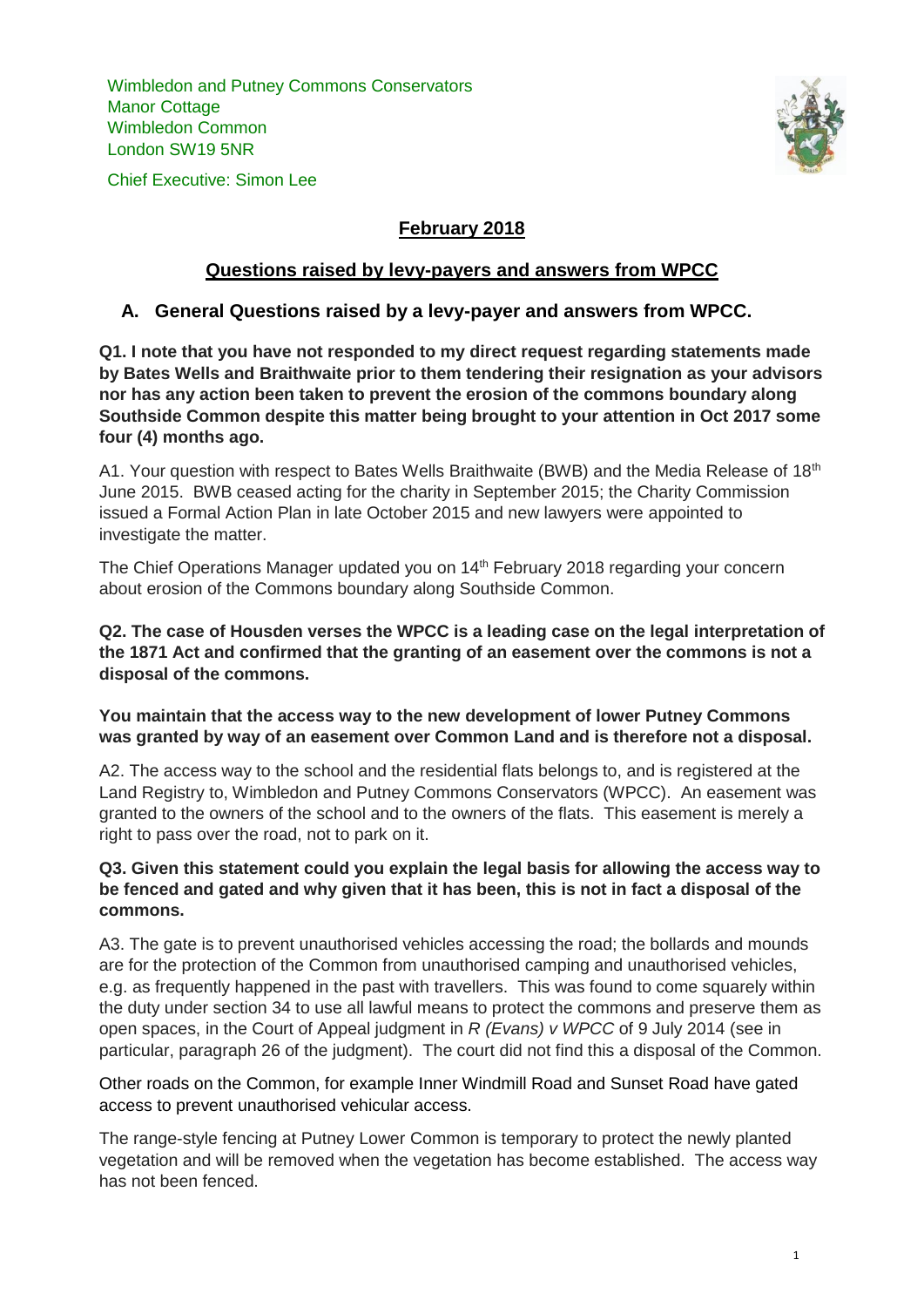Wimbledon and Putney Commons Conservators Manor Cottage Wimbledon Common London SW19 5NR

Chief Executive: Simon Lee



# **February 2018**

### **Questions raised by levy-payers and answers from WPCC**

### **A. General Questions raised by a levy-payer and answers from WPCC.**

**Q1. I note that you have not responded to my direct request regarding statements made by Bates Wells and Braithwaite prior to them tendering their resignation as your advisors nor has any action been taken to prevent the erosion of the commons boundary along Southside Common despite this matter being brought to your attention in Oct 2017 some four (4) months ago.**

A1. Your question with respect to Bates Wells Braithwaite (BWB) and the Media Release of 18<sup>th</sup> June 2015. BWB ceased acting for the charity in September 2015; the Charity Commission issued a Formal Action Plan in late October 2015 and new lawyers were appointed to investigate the matter.

The Chief Operations Manager updated you on 14<sup>th</sup> February 2018 regarding your concern about erosion of the Commons boundary along Southside Common.

**Q2. The case of Housden verses the WPCC is a leading case on the legal interpretation of the 1871 Act and confirmed that the granting of an easement over the commons is not a disposal of the commons.**

**You maintain that the access way to the new development of lower Putney Commons was granted by way of an easement over Common Land and is therefore not a disposal.**

A2. The access way to the school and the residential flats belongs to, and is registered at the Land Registry to, Wimbledon and Putney Commons Conservators (WPCC). An easement was granted to the owners of the school and to the owners of the flats. This easement is merely a right to pass over the road, not to park on it.

#### **Q3. Given this statement could you explain the legal basis for allowing the access way to be fenced and gated and why given that it has been, this is not in fact a disposal of the commons.**

A3. The gate is to prevent unauthorised vehicles accessing the road; the bollards and mounds are for the protection of the Common from unauthorised camping and unauthorised vehicles, e.g. as frequently happened in the past with travellers. This was found to come squarely within the duty under section 34 to use all lawful means to protect the commons and preserve them as open spaces, in the Court of Appeal judgment in *R (Evans) v WPCC* of 9 July 2014 (see in particular, paragraph 26 of the judgment). The court did not find this a disposal of the Common.

Other roads on the Common, for example Inner Windmill Road and Sunset Road have gated access to prevent unauthorised vehicular access.

The range-style fencing at Putney Lower Common is temporary to protect the newly planted vegetation and will be removed when the vegetation has become established. The access way has not been fenced.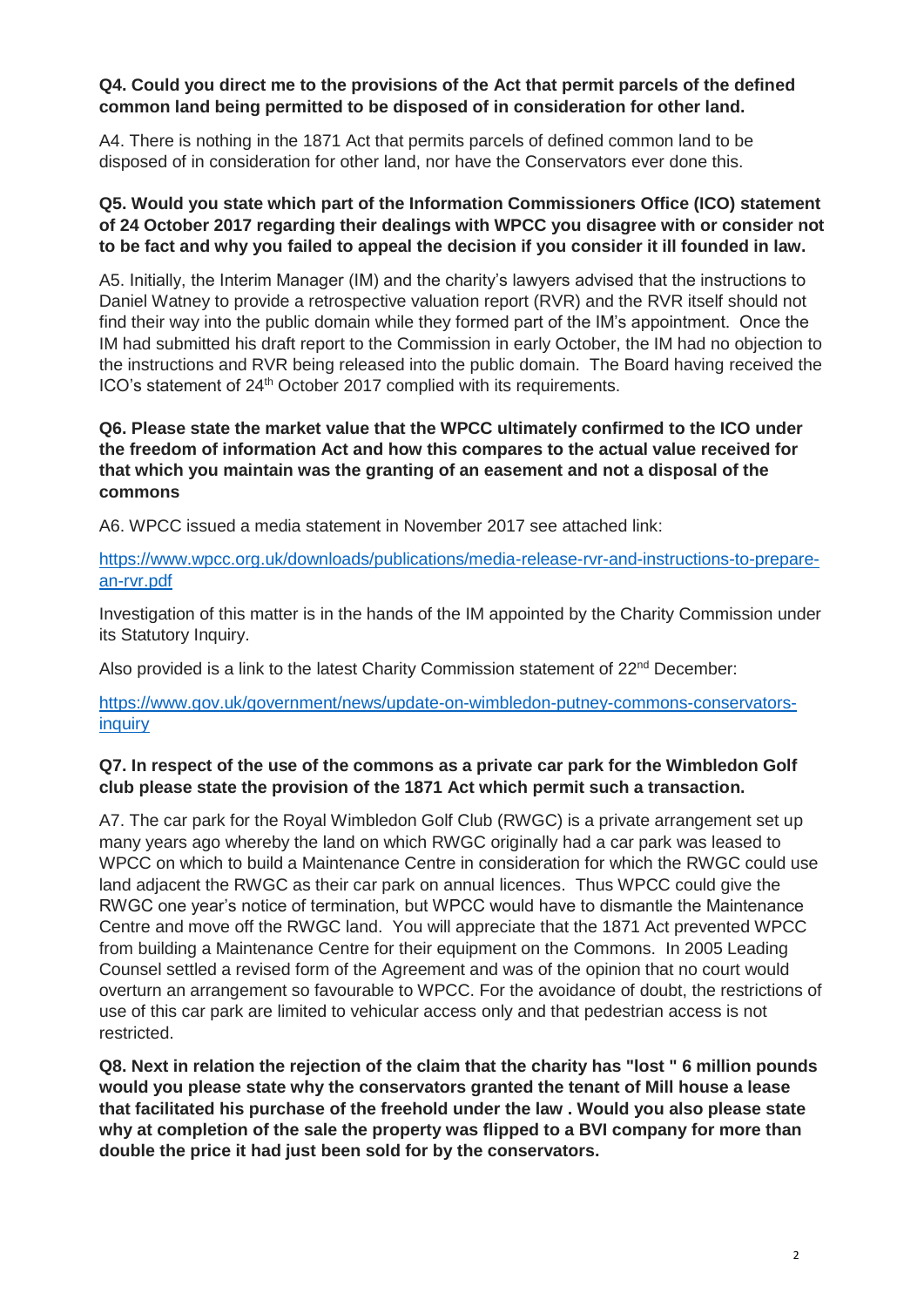#### **Q4. Could you direct me to the provisions of the Act that permit parcels of the defined common land being permitted to be disposed of in consideration for other land.**

A4. There is nothing in the 1871 Act that permits parcels of defined common land to be disposed of in consideration for other land, nor have the Conservators ever done this.

### **Q5. Would you state which part of the Information Commissioners Office (ICO) statement of 24 October 2017 regarding their dealings with WPCC you disagree with or consider not to be fact and why you failed to appeal the decision if you consider it ill founded in law.**

A5. Initially, the Interim Manager (IM) and the charity's lawyers advised that the instructions to Daniel Watney to provide a retrospective valuation report (RVR) and the RVR itself should not find their way into the public domain while they formed part of the IM's appointment. Once the IM had submitted his draft report to the Commission in early October, the IM had no objection to the instructions and RVR being released into the public domain. The Board having received the ICO's statement of 24<sup>th</sup> October 2017 complied with its requirements.

## **Q6. Please state the market value that the WPCC ultimately confirmed to the ICO under the freedom of information Act and how this compares to the actual value received for that which you maintain was the granting of an easement and not a disposal of the commons**

A6. WPCC issued a media statement in November 2017 see attached link:

### [https://www.wpcc.org.uk/downloads/publications/media-release-rvr-and-instructions-to-prepare](https://www.wpcc.org.uk/downloads/publications/media-release-rvr-and-instructions-to-prepare-an-rvr.pdf)[an-rvr.pdf](https://www.wpcc.org.uk/downloads/publications/media-release-rvr-and-instructions-to-prepare-an-rvr.pdf)

Investigation of this matter is in the hands of the IM appointed by the Charity Commission under its Statutory Inquiry.

Also provided is a link to the latest Charity Commission statement of  $22^{nd}$  December:

[https://www.gov.uk/government/news/update-on-wimbledon-putney-commons-conservators](https://www.gov.uk/government/news/update-on-wimbledon-putney-commons-conservators-inquiry)[inquiry](https://www.gov.uk/government/news/update-on-wimbledon-putney-commons-conservators-inquiry)

## **Q7. In respect of the use of the commons as a private car park for the Wimbledon Golf club please state the provision of the 1871 Act which permit such a transaction.**

A7. The car park for the Royal Wimbledon Golf Club (RWGC) is a private arrangement set up many years ago whereby the land on which RWGC originally had a car park was leased to WPCC on which to build a Maintenance Centre in consideration for which the RWGC could use land adjacent the RWGC as their car park on annual licences. Thus WPCC could give the RWGC one year's notice of termination, but WPCC would have to dismantle the Maintenance Centre and move off the RWGC land. You will appreciate that the 1871 Act prevented WPCC from building a Maintenance Centre for their equipment on the Commons. In 2005 Leading Counsel settled a revised form of the Agreement and was of the opinion that no court would overturn an arrangement so favourable to WPCC. For the avoidance of doubt, the restrictions of use of this car park are limited to vehicular access only and that pedestrian access is not restricted.

**Q8. Next in relation the rejection of the claim that the charity has "lost " 6 million pounds would you please state why the conservators granted the tenant of Mill house a lease that facilitated his purchase of the freehold under the law . Would you also please state why at completion of the sale the property was flipped to a BVI company for more than double the price it had just been sold for by the conservators.**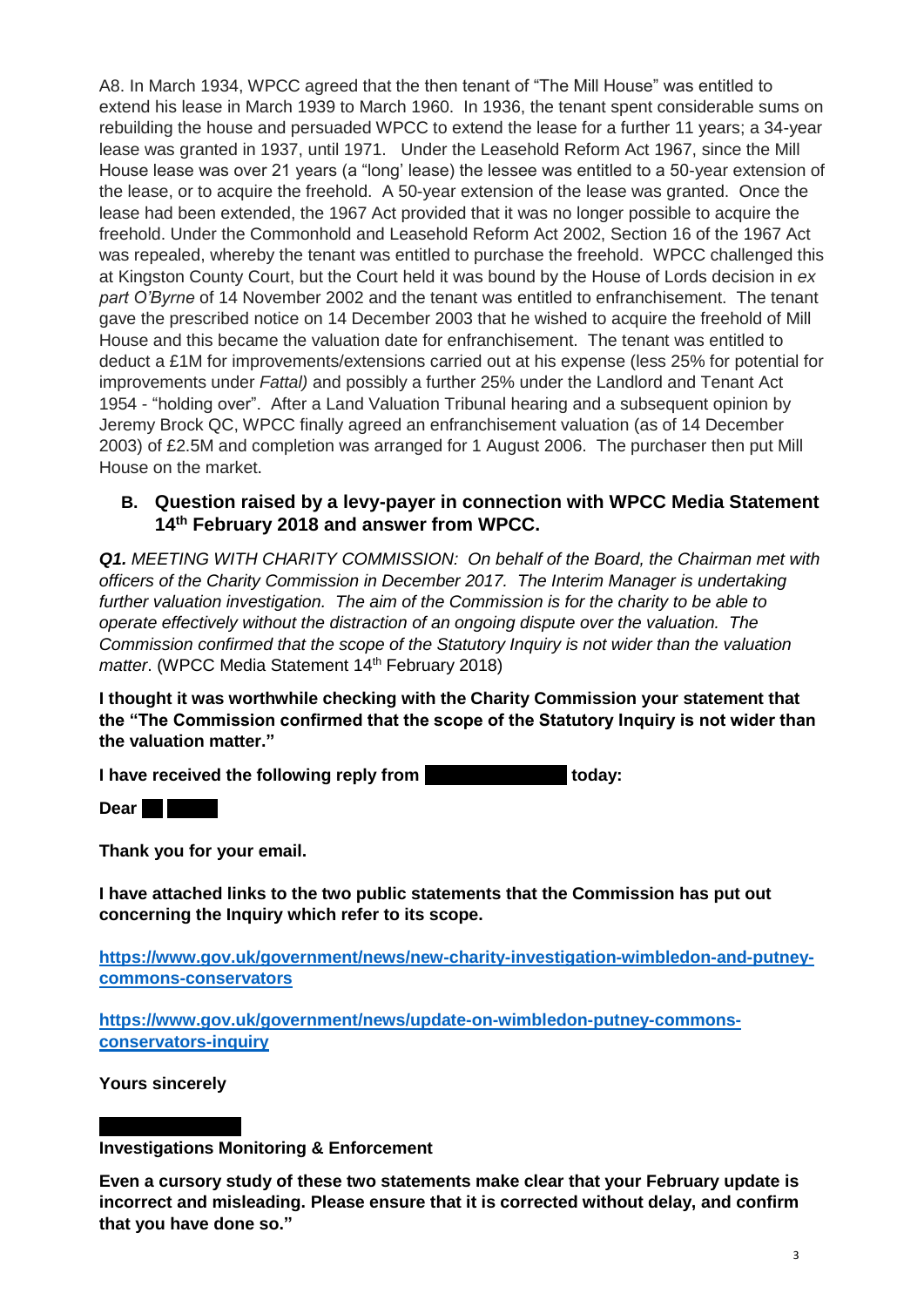A8. In March 1934, WPCC agreed that the then tenant of "The Mill House" was entitled to extend his lease in March 1939 to March 1960. In 1936, the tenant spent considerable sums on rebuilding the house and persuaded WPCC to extend the lease for a further 11 years; a 34-year lease was granted in 1937, until 1971. Under the Leasehold Reform Act 1967, since the Mill House lease was over 21 years (a "long' lease) the lessee was entitled to a 50-year extension of the lease, or to acquire the freehold. A 50-year extension of the lease was granted. Once the lease had been extended, the 1967 Act provided that it was no longer possible to acquire the freehold. Under the Commonhold and Leasehold Reform Act 2002, Section 16 of the 1967 Act was repealed, whereby the tenant was entitled to purchase the freehold. WPCC challenged this at Kingston County Court, but the Court held it was bound by the House of Lords decision in *ex part O'Byrne* of 14 November 2002 and the tenant was entitled to enfranchisement. The tenant gave the prescribed notice on 14 December 2003 that he wished to acquire the freehold of Mill House and this became the valuation date for enfranchisement. The tenant was entitled to deduct a £1M for improvements/extensions carried out at his expense (less 25% for potential for improvements under *Fattal)* and possibly a further 25% under the Landlord and Tenant Act 1954 - "holding over". After a Land Valuation Tribunal hearing and a subsequent opinion by Jeremy Brock QC, WPCC finally agreed an enfranchisement valuation (as of 14 December 2003) of £2.5M and completion was arranged for 1 August 2006. The purchaser then put Mill House on the market.

## **B. Question raised by a levy-payer in connection with WPCC Media Statement 14th February 2018 and answer from WPCC.**

*Q1. MEETING WITH CHARITY COMMISSION: On behalf of the Board, the Chairman met with officers of the Charity Commission in December 2017. The Interim Manager is undertaking further valuation investigation. The aim of the Commission is for the charity to be able to operate effectively without the distraction of an ongoing dispute over the valuation. The Commission confirmed that the scope of the Statutory Inquiry is not wider than the valuation matter.* (WPCC Media Statement 14<sup>th</sup> February 2018)

**I thought it was worthwhile checking with the Charity Commission your statement that the "The Commission confirmed that the scope of the Statutory Inquiry is not wider than the valuation matter."**

**I have received the following reply from**  $\blacksquare$  **<b>today:** 

**Dear Evans** 

**Thank you for your email.**

**I have attached links to the two public statements that the Commission has put out concerning the Inquiry which refer to its scope.**

**[https://www.gov.uk/government/news/new-charity-investigation-wimbledon-and-putney](https://www.gov.uk/government/news/new-charity-investigation-wimbledon-and-putney-commons-conservators)[commons-conservators](https://www.gov.uk/government/news/new-charity-investigation-wimbledon-and-putney-commons-conservators)**

**[https://www.gov.uk/government/news/update-on-wimbledon-putney-commons](https://www.gov.uk/government/news/update-on-wimbledon-putney-commons-conservators-inquiry)[conservators-inquiry](https://www.gov.uk/government/news/update-on-wimbledon-putney-commons-conservators-inquiry)**

**Yours sincerely**

**Investigations Monitoring & Enforcement**

**Even a cursory study of these two statements make clear that your February update is incorrect and misleading. Please ensure that it is corrected without delay, and confirm that you have done so."**